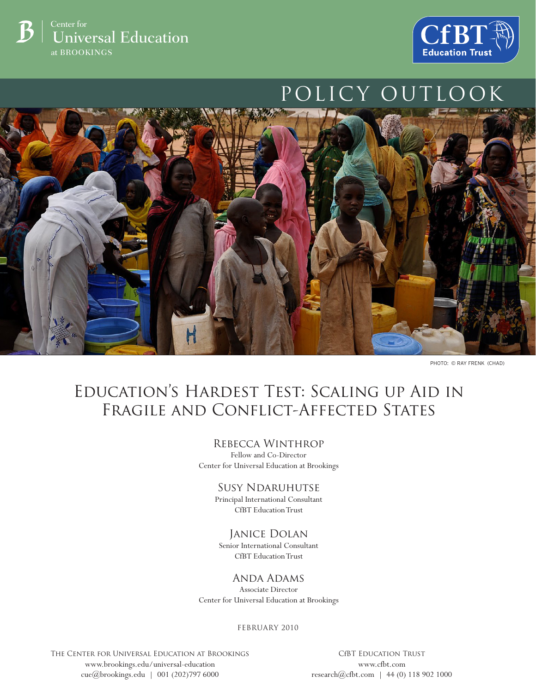



# POLICY OUTLOOK



PHOTO: © RAY FRENK (CHAD)

# Education's Hardest Test: Scaling up Aid in Fragile and Conflict-Affected States

#### Rebecca Winthrop

Fellow and Co-Director Center for Universal Education at Brookings

#### Susy Ndaruhutse

Principal International Consultant CfBT Education Trust

#### Janice Dolan

Senior International Consultant CfBT Education Trust

## Anda Adams

Associate Director Center for Universal Education at Brookings

february 2010

The Center for Universal Education at Brookings www.brookings.edu/universal-education cue@brookings.edu | 001 (202)797 6000

CfBT Education Trust www.cfbt.com research@cfbt.com | 44 (0) 118 902 1000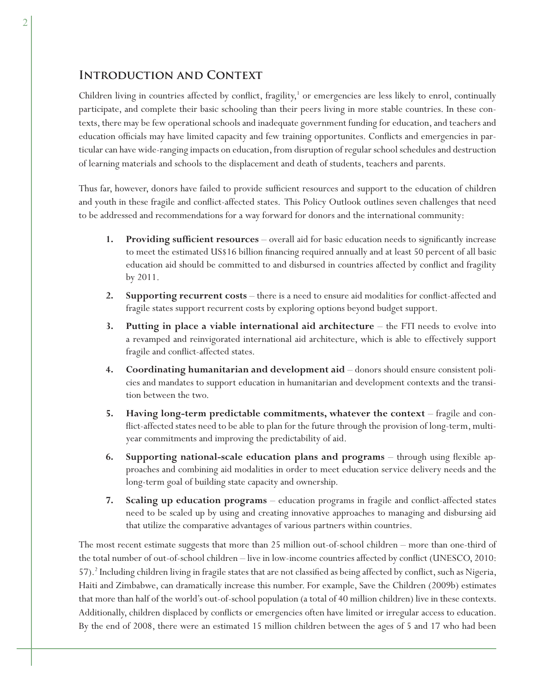### **Introduction and Context**

Children living in countries affected by conflict, fragility,<sup>1</sup> or emergencies are less likely to enrol, continually participate, and complete their basic schooling than their peers living in more stable countries. In these contexts, there may be few operational schools and inadequate government funding for education, and teachers and education officials may have limited capacity and few training opportunites. Conflicts and emergencies in particular can have wide-ranging impacts on education, from disruption of regular school schedules and destruction of learning materials and schools to the displacement and death of students, teachers and parents.

Thus far, however, donors have failed to provide sufficient resources and support to the education of children and youth in these fragile and conflict-affected states. This Policy Outlook outlines seven challenges that need to be addressed and recommendations for a way forward for donors and the international community:

- **Providing sufficient resources** overall aid for basic education needs to significantly increase to meet the estimated US\$16 billion financing required annually and at least 50 percent of all basic education aid should be committed to and disbursed in countries affected by conflict and fragility by 2011. **1.**
- **Supporting recurrent costs** there is a need to ensure aid modalities for conflict-affected and fragile states support recurrent costs by exploring options beyond budget support. **2.**
- **Putting in place a viable international aid architecture** the FTI needs to evolve into a revamped and reinvigorated international aid architecture, which is able to effectively support fragile and conflict-affected states. **3.**
- **Coordinating humanitarian and development aid** donors should ensure consistent policies and mandates to support education in humanitarian and development contexts and the transition between the two. **4.**
- **Having long-term predictable commitments, whatever the context** fragile and conflict-affected states need to be able to plan for the future through the provision of long-term, multiyear commitments and improving the predictability of aid. **5.**
- **Supporting national-scale education plans and programs** through using flexible approaches and combining aid modalities in order to meet education service delivery needs and the long-term goal of building state capacity and ownership. **6.**
- **Scaling up education programs** education programs in fragile and conflict-affected states need to be scaled up by using and creating innovative approaches to managing and disbursing aid that utilize the comparative advantages of various partners within countries. **7.**

The most recent estimate suggests that more than 25 million out-of-school children – more than one-third of the total number of out-of-school children – live in low-income countries affected by conflict (UNESCO, 2010: 57).<sup>2</sup> Including children living in fragile states that are not classified as being affected by conflict, such as Nigeria, Haiti and Zimbabwe, can dramatically increase this number. For example, Save the Children (2009b) estimates that more than half of the world's out-of-school population (a total of 40 million children) live in these contexts. Additionally, children displaced by conflicts or emergencies often have limited or irregular access to education. By the end of 2008, there were an estimated 15 million children between the ages of 5 and 17 who had been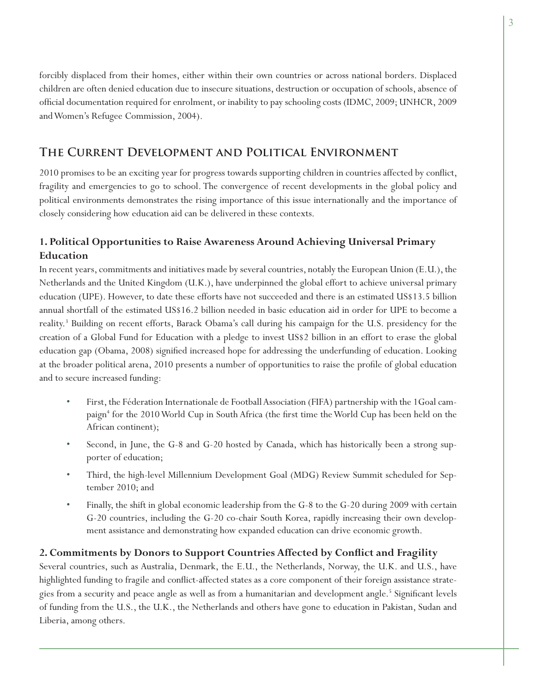forcibly displaced from their homes, either within their own countries or across national borders. Displaced children are often denied education due to insecure situations, destruction or occupation of schools, absence of official documentation required for enrolment, or inability to pay schooling costs (IDMC, 2009; UNHCR, 2009 and Women's Refugee Commission, 2004).

# **The Current Development and Political Environment**

2010 promises to be an exciting year for progress towards supporting children in countries affected by conflict, fragility and emergencies to go to school. The convergence of recent developments in the global policy and political environments demonstrates the rising importance of this issue internationally and the importance of closely considering how education aid can be delivered in these contexts.

# **1. Political Opportunities to Raise Awareness Around Achieving Universal Primary Education**

In recent years, commitments and initiatives made by several countries, notably the European Union (E.U.), the Netherlands and the United Kingdom (U.K.), have underpinned the global effort to achieve universal primary education (UPE). However, to date these efforts have not succeeded and there is an estimated US\$13.5 billion annual shortfall of the estimated US\$16.2 billion needed in basic education aid in order for UPE to become a reality.3 Building on recent efforts, Barack Obama's call during his campaign for the U.S. presidency for the creation of a Global Fund for Education with a pledge to invest US\$2 billion in an effort to erase the global education gap (Obama, 2008) signified increased hope for addressing the underfunding of education. Looking at the broader political arena, 2010 presents a number of opportunities to raise the profile of global education and to secure increased funding:

- First, the Féderation Internationale de Football Association (FIFA) partnership with the 1Goal campaign<sup>4</sup> for the 2010 World Cup in South Africa (the first time the World Cup has been held on the African continent); •
- Second, in June, the G-8 and G-20 hosted by Canada, which has historically been a strong supporter of education; •
- Third, the high-level Millennium Development Goal (MDG) Review Summit scheduled for September 2010; and •
- Finally, the shift in global economic leadership from the G-8 to the G-20 during 2009 with certain G-20 countries, including the G-20 co-chair South Korea, rapidly increasing their own development assistance and demonstrating how expanded education can drive economic growth. •

#### 2. Commitments by Donors to Support Countries Affected by Conflict and Fragility

Several countries, such as Australia, Denmark, the E.U., the Netherlands, Norway, the U.K. and U.S., have highlighted funding to fragile and conflict-affected states as a core component of their foreign assistance strategies from a security and peace angle as well as from a humanitarian and development angle.<sup>5</sup> Significant levels of funding from the U.S., the U.K., the Netherlands and others have gone to education in Pakistan, Sudan and Liberia, among others.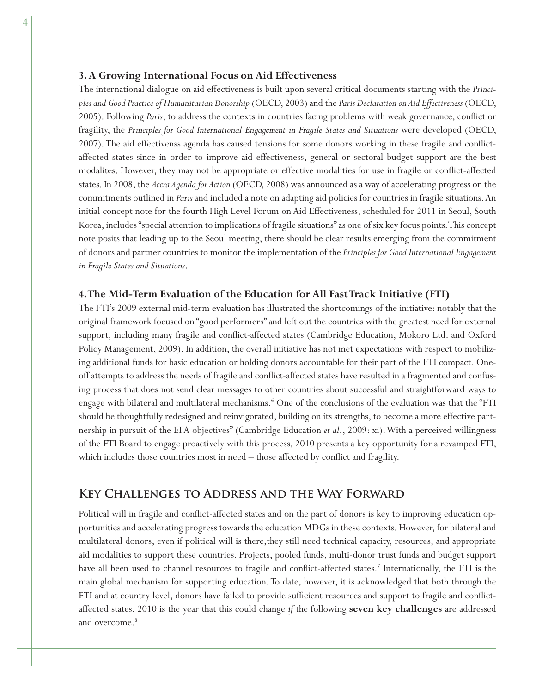#### **3. A Growing International Focus on Aid Effectiveness**

The international dialogue on aid effectiveness is built upon several critical documents starting with the *Principles and Good Practice of Humanitarian Donorship* (OECD, 2003) and the *Paris Declaration on Aid Effectiveness* (OECD, 2005). Following *Paris*, to address the contexts in countries facing problems with weak governance, conflict or fragility, the *Principles for Good International Engagement in Fragile States and Situations* were developed (OECD, 2007). The aid effectivenss agenda has caused tensions for some donors working in these fragile and conflictaffected states since in order to improve aid effectiveness, general or sectoral budget support are the best modalites. However, they may not be appropriate or effective modalities for use in fragile or conflict-affected states. In 2008, the *Accra Agenda for Action* (OECD, 2008) was announced as a way of accelerating progress on the commitments outlined in *Paris* and included a note on adapting aid policies for countries in fragile situations. An initial concept note for the fourth High Level Forum on Aid Effectiveness, scheduled for 2011 in Seoul, South Korea, includes "special attention to implications of fragile situations" as one of six key focus points. This concept note posits that leading up to the Seoul meeting, there should be clear results emerging from the commitment of donors and partner countries to monitor the implementation of the *Principles for Good International Engagement in Fragile States and Situations*.

#### **4. The Mid-Term Evaluation of the Education for All Fast Track Initiative (FTI)**

The FTI's 2009 external mid-term evaluation has illustrated the shortcomings of the initiative: notably that the original framework focused on "good performers" and left out the countries with the greatest need for external support, including many fragile and conflict-affected states (Cambridge Education, Mokoro Ltd. and Oxford Policy Management, 2009). In addition, the overall initiative has not met expectations with respect to mobilizing additional funds for basic education or holding donors accountable for their part of the FTI compact. Oneoff attempts to address the needs of fragile and conflict-affected states have resulted in a fragmented and confusing process that does not send clear messages to other countries about successful and straightforward ways to engage with bilateral and multilateral mechanisms.<sup>6</sup> One of the conclusions of the evaluation was that the "FTI should be thoughtfully redesigned and reinvigorated, building on its strengths, to become a more effective partnership in pursuit of the EFA objectives" (Cambridge Education *et al*., 2009: xi). With a perceived willingness of the FTI Board to engage proactively with this process, 2010 presents a key opportunity for a revamped FTI, which includes those countries most in  $need$  – those affected by conflict and fragility.

#### **Key Challenges to Address and the Way Forward**

Political will in fragile and conflict-affected states and on the part of donors is key to improving education opportunities and accelerating progress towards the education MDGs in these contexts. However, for bilateral and multilateral donors, even if political will is there,they still need technical capacity, resources, and appropriate aid modalities to support these countries. Projects, pooled funds, multi-donor trust funds and budget support have all been used to channel resources to fragile and conflict-affected states.<sup>7</sup> Internationally, the FTI is the main global mechanism for supporting education. To date, however, it is acknowledged that both through the FTI and at country level, donors have failed to provide sufficient resources and support to fragile and conflictaffected states. 2010 is the year that this could change *if* the following **seven key challenges** are addressed and overcome.<sup>8</sup>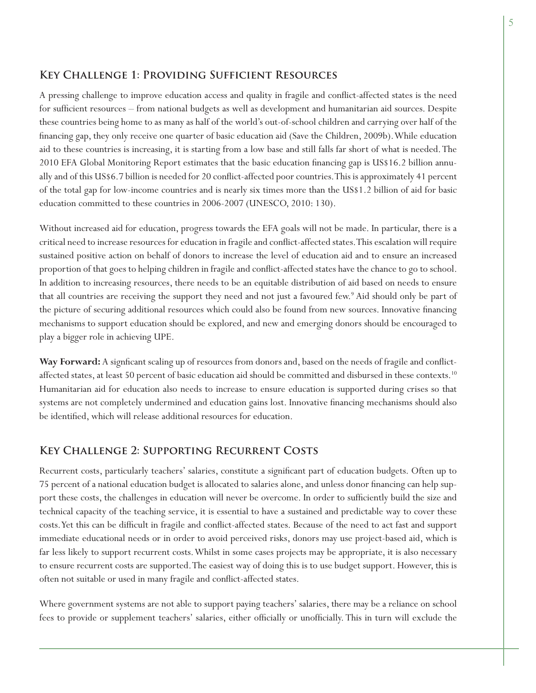# **Key Challenge 1: Providing Sufficient Resources**

A pressing challenge to improve education access and quality in fragile and conflict-affected states is the need for sufficient resources – from national budgets as well as development and humanitarian aid sources. Despite these countries being home to as many as half of the world's out-of-school children and carrying over half of the financing gap, they only receive one quarter of basic education aid (Save the Children, 2009b). While education aid to these countries is increasing, it is starting from a low base and still falls far short of what is needed. The 2010 EFA Global Monitoring Report estimates that the basic education financing gap is US\$16.2 billion annually and of this US\$6.7 billion is needed for 20 conflict-affected poor countries. This is approximately 41 percent of the total gap for low-income countries and is nearly six times more than the US\$1.2 billion of aid for basic education committed to these countries in 2006-2007 (UNESCO, 2010: 130).

Without increased aid for education, progress towards the EFA goals will not be made. In particular, there is a critical need to increase resources for education in fragile and conflict-affected states. This escalation will require sustained positive action on behalf of donors to increase the level of education aid and to ensure an increased proportion of that goes to helping children in fragile and conflict-affected states have the chance to go to school. In addition to increasing resources, there needs to be an equitable distribution of aid based on needs to ensure that all countries are receiving the support they need and not just a favoured few.<sup>9</sup> Aid should only be part of the picture of securing additional resources which could also be found from new sources. Innovative financing mechanisms to support education should be explored, and new and emerging donors should be encouraged to play a bigger role in achieving UPE.

Way Forward: A signficant scaling up of resources from donors and, based on the needs of fragile and conflictaffected states, at least 50 percent of basic education aid should be committed and disbursed in these contexts.<sup>10</sup> Humanitarian aid for education also needs to increase to ensure education is supported during crises so that systems are not completely undermined and education gains lost. Innovative financing mechanisms should also be identified, which will release additional resources for education.

#### **Key Challenge 2: Supporting Recurrent Costs**

Recurrent costs, particularly teachers' salaries, constitute a significant part of education budgets. Often up to 75 percent of a national education budget is allocated to salaries alone, and unless donor financing can help support these costs, the challenges in education will never be overcome. In order to sufficiently build the size and technical capacity of the teaching service, it is essential to have a sustained and predictable way to cover these costs. Yet this can be difficult in fragile and conflict-affected states. Because of the need to act fast and support immediate educational needs or in order to avoid perceived risks, donors may use project-based aid, which is far less likely to support recurrent costs. Whilst in some cases projects may be appropriate, it is also necessary to ensure recurrent costs are supported. The easiest way of doing this is to use budget support. However, this is often not suitable or used in many fragile and conflict-affected states.

Where government systems are not able to support paying teachers' salaries, there may be a reliance on school fees to provide or supplement teachers' salaries, either officially or unofficially. This in turn will exclude the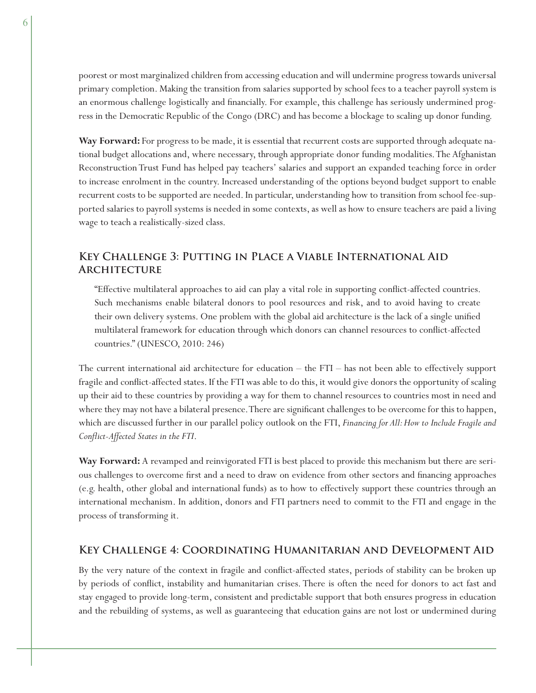poorest or most marginalized children from accessing education and will undermine progress towards universal primary completion. Making the transition from salaries supported by school fees to a teacher payroll system is an enormous challenge logistically and financially. For example, this challenge has seriously undermined progress in the Democratic Republic of the Congo (DRC) and has become a blockage to scaling up donor funding.

**Way Forward:** For progress to be made, it is essential that recurrent costs are supported through adequate national budget allocations and, where necessary, through appropriate donor funding modalities. The Afghanistan Reconstruction Trust Fund has helped pay teachers' salaries and support an expanded teaching force in order to increase enrolment in the country. Increased understanding of the options beyond budget support to enable recurrent costs to be supported are needed. In particular, understanding how to transition from school fee-supported salaries to payroll systems is needed in some contexts, as well as how to ensure teachers are paid a living wage to teach a realistically-sized class.

# **Key Challenge 3: Putting in Place a Viable International Aid Architecture**

"Effective multilateral approaches to aid can play a vital role in supporting conflict-affected countries. Such mechanisms enable bilateral donors to pool resources and risk, and to avoid having to create their own delivery systems. One problem with the global aid architecture is the lack of a single unified multilateral framework for education through which donors can channel resources to conflict-affected countries." (UNESCO, 2010: 246)

The current international aid architecture for education – the FTI – has not been able to effectively support fragile and conflict-affected states. If the FTI was able to do this, it would give donors the opportunity of scaling up their aid to these countries by providing a way for them to channel resources to countries most in need and where they may not have a bilateral presence. There are significant challenges to be overcome for this to happen, which are discussed further in our parallel policy outlook on the FTI, *Financing for All: How to Include Fragile and Confl ict-Affected States in the FTI*.

**Way Forward:** A revamped and reinvigorated FTI is best placed to provide this mechanism but there are serious challenges to overcome first and a need to draw on evidence from other sectors and financing approaches (e.g. health, other global and international funds) as to how to effectively support these countries through an international mechanism. In addition, donors and FTI partners need to commit to the FTI and engage in the process of transforming it.

#### **Key Challenge 4: Coordinating Humanitarian and Development Aid**

By the very nature of the context in fragile and conflict-affected states, periods of stability can be broken up by periods of conflict, instability and humanitarian crises. There is often the need for donors to act fast and stay engaged to provide long-term, consistent and predictable support that both ensures progress in education and the rebuilding of systems, as well as guaranteeing that education gains are not lost or undermined during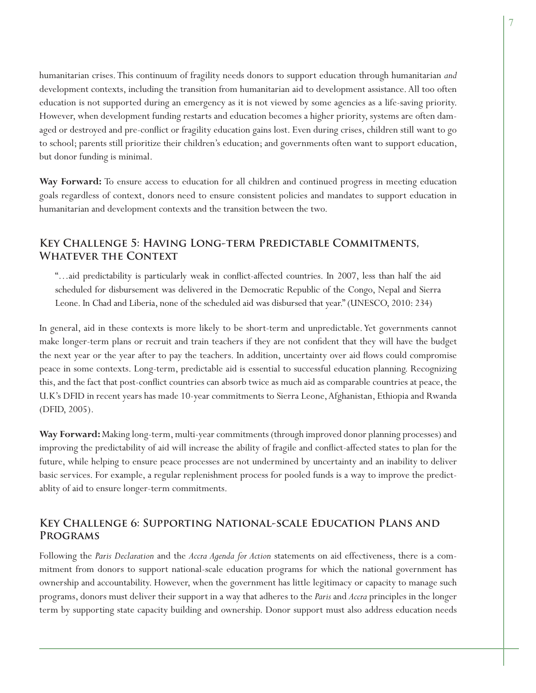humanitarian crises. This continuum of fragility needs donors to support education through humanitarian *and*  development contexts, including the transition from humanitarian aid to development assistance. All too often education is not supported during an emergency as it is not viewed by some agencies as a life-saving priority. However, when development funding restarts and education becomes a higher priority, systems are often damaged or destroyed and pre-conflict or fragility education gains lost. Even during crises, children still want to go to school; parents still prioritize their children's education; and governments often want to support education, but donor funding is minimal.

**Way Forward:** To ensure access to education for all children and continued progress in meeting education goals regardless of context, donors need to ensure consistent policies and mandates to support education in humanitarian and development contexts and the transition between the two.

## **Key Challenge 5: Having Long-term Predictable Commitments, Whatever the Context**

"...aid predictability is particularly weak in conflict-affected countries. In 2007, less than half the aid scheduled for disbursement was delivered in the Democratic Republic of the Congo, Nepal and Sierra Leone. In Chad and Liberia, none of the scheduled aid was disbursed that year." (UNESCO, 2010: 234)

In general, aid in these contexts is more likely to be short-term and unpredictable. Yet governments cannot make longer-term plans or recruit and train teachers if they are not confident that they will have the budget the next year or the year after to pay the teachers. In addition, uncertainty over aid flows could compromise peace in some contexts. Long-term, predictable aid is essential to successful education planning. Recognizing this, and the fact that post-conflict countries can absorb twice as much aid as comparable countries at peace, the U.K's DFID in recent years has made 10-year commitments to Sierra Leone, Afghanistan, Ethiopia and Rwanda (DFID, 2005).

**Way Forward:** Making long-term, multi-year commitments (through improved donor planning processes) and improving the predictability of aid will increase the ability of fragile and conflict-affected states to plan for the future, while helping to ensure peace processes are not undermined by uncertainty and an inability to deliver basic services. For example, a regular replenishment process for pooled funds is a way to improve the predictablity of aid to ensure longer-term commitments.

#### **Key Challenge 6: Supporting National-scale Education Plans and Programs**

Following the *Paris Declaration* and the *Accra Agenda for Action* statements on aid effectiveness, there is a commitment from donors to support national-scale education programs for which the national government has ownership and accountability. However, when the government has little legitimacy or capacity to manage such programs, donors must deliver their support in a way that adheres to the *Paris* and *Accra* principles in the longer term by supporting state capacity building and ownership. Donor support must also address education needs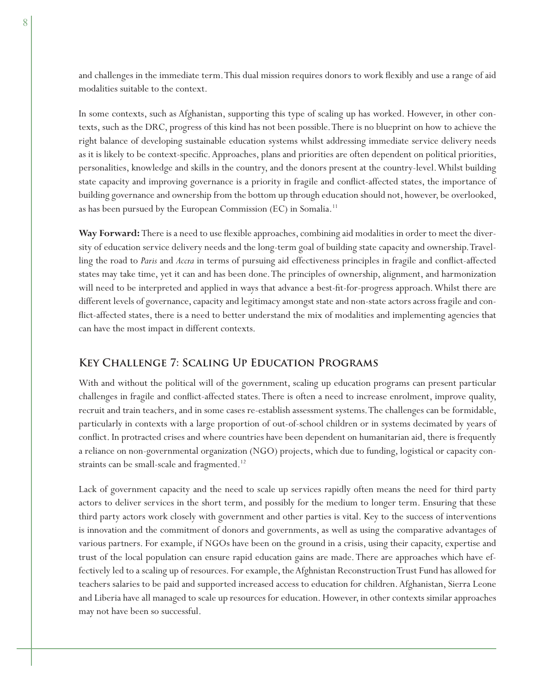and challenges in the immediate term. This dual mission requires donors to work flexibly and use a range of aid modalities suitable to the context.

In some contexts, such as Afghanistan, supporting this type of scaling up has worked. However, in other contexts, such as the DRC, progress of this kind has not been possible. There is no blueprint on how to achieve the right balance of developing sustainable education systems whilst addressing immediate service delivery needs as it is likely to be context-specific. Approaches, plans and priorities are often dependent on political priorities, personalities, knowledge and skills in the country, and the donors present at the country-level. Whilst building state capacity and improving governance is a priority in fragile and conflict-affected states, the importance of building governance and ownership from the bottom up through education should not, however, be overlooked, as has been pursued by the European Commission (EC) in Somalia.<sup>11</sup>

Way Forward: There is a need to use flexible approaches, combining aid modalities in order to meet the diversity of education service delivery needs and the long-term goal of building state capacity and ownership. Travelling the road to *Paris* and *Accra* in terms of pursuing aid effectiveness principles in fragile and conflict-affected states may take time, yet it can and has been done. The principles of ownership, alignment, and harmonization will need to be interpreted and applied in ways that advance a best-fit-for-progress approach. Whilst there are different levels of governance, capacity and legitimacy amongst state and non-state actors across fragile and conflict-affected states, there is a need to better understand the mix of modalities and implementing agencies that can have the most impact in different contexts.

## **Key Challenge 7: Scaling Up Education Programs**

With and without the political will of the government, scaling up education programs can present particular challenges in fragile and conflict-affected states. There is often a need to increase enrolment, improve quality, recruit and train teachers, and in some cases re-establish assessment systems. The challenges can be formidable, particularly in contexts with a large proportion of out-of-school children or in systems decimated by years of conflict. In protracted crises and where countries have been dependent on humanitarian aid, there is frequently a reliance on non-governmental organization (NGO) projects, which due to funding, logistical or capacity constraints can be small-scale and fragmented.<sup>12</sup>

Lack of government capacity and the need to scale up services rapidly often means the need for third party actors to deliver services in the short term, and possibly for the medium to longer term. Ensuring that these third party actors work closely with government and other parties is vital. Key to the success of interventions is innovation and the commitment of donors and governments, as well as using the comparative advantages of various partners. For example, if NGOs have been on the ground in a crisis, using their capacity, expertise and trust of the local population can ensure rapid education gains are made. There are approaches which have effectively led to a scaling up of resources. For example, the Afghnistan Reconstruction Trust Fund has allowed for teachers salaries to be paid and supported increased access to education for children. Afghanistan, Sierra Leone and Liberia have all managed to scale up resources for education. However, in other contexts similar approaches may not have been so successful.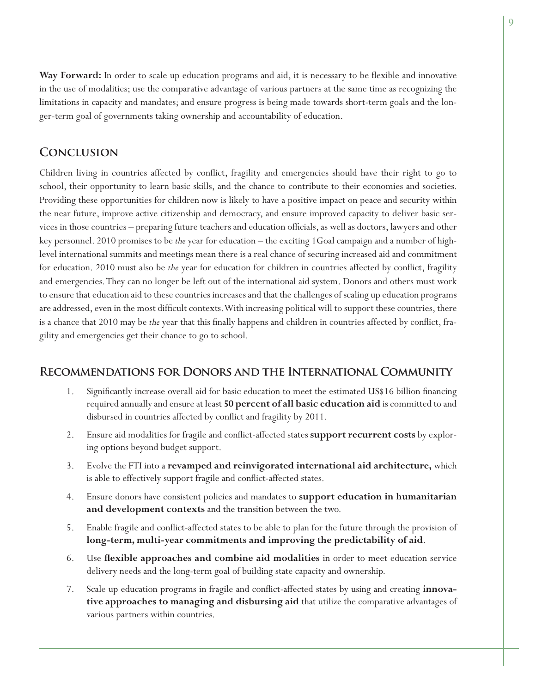Way Forward: In order to scale up education programs and aid, it is necessary to be flexible and innovative in the use of modalities; use the comparative advantage of various partners at the same time as recognizing the limitations in capacity and mandates; and ensure progress is being made towards short-term goals and the longer-term goal of governments taking ownership and accountability of education.

# **Conclusion**

Children living in countries affected by conflict, fragility and emergencies should have their right to go to school, their opportunity to learn basic skills, and the chance to contribute to their economies and societies. Providing these opportunities for children now is likely to have a positive impact on peace and security within the near future, improve active citizenship and democracy, and ensure improved capacity to deliver basic services in those countries – preparing future teachers and education officials, as well as doctors, lawyers and other key personnel. 2010 promises to be *the* year for education – the exciting 1Goal campaign and a number of highlevel international summits and meetings mean there is a real chance of securing increased aid and commitment for education. 2010 must also be *the* year for education for children in countries affected by conflict, fragility and emergencies. They can no longer be left out of the international aid system. Donors and others must work to ensure that education aid to these countries increases and that the challenges of scaling up education programs are addressed, even in the most difficult contexts. With increasing political will to support these countries, there is a chance that 2010 may be *the* year that this finally happens and children in countries affected by conflict, fragility and emergencies get their chance to go to school.

## **Recommendations for Donors and the International Community**

- Significantly increase overall aid for basic education to meet the estimated US\$16 billion financing required annually and ensure at least **50 percent of all basic education aid** is committed to and disbursed in countries affected by conflict and fragility by 2011. 1.
- Ensure aid modalities for fragile and conflict-affected states **support recurrent costs** by exploring options beyond budget support. 2.
- Evolve the FTI into a **revamped and reinvigorated international aid architecture,** which is able to effectively support fragile and conflict-affected states. 3.
- Ensure donors have consistent policies and mandates to **support education in humanitarian and development contexts** and the transition between the two. 4.
- Enable fragile and conflict-affected states to be able to plan for the future through the provision of **long-term, multi-year commitments and improving the predictability of aid**. 5.
- Use **fl exible approaches and combine aid modalities** in order to meet education service delivery needs and the long-term goal of building state capacity and ownership. 6.
- Scale up education programs in fragile and conflict-affected states by using and creating **innovative approaches to managing and disbursing aid** that utilize the comparative advantages of various partners within countries. 7.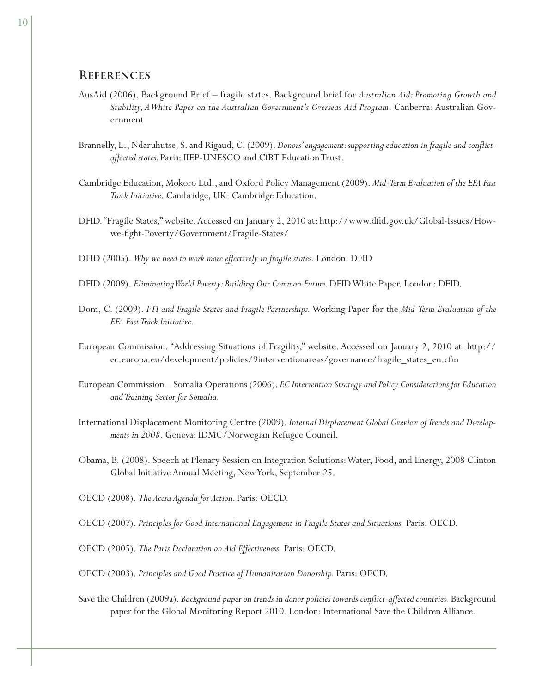#### **References**

- AusAid (2006). Background Brief fragile states. Background brief for *Australian Aid: Promoting Growth and Stability, A White Paper on the Australian Government's Overseas Aid Program*. Canberra: Australian Government
- Brannelly, L., Ndaruhutse, S. and Rigaud, C. (2009). *Donors' engagement: supporting education in fragile and confl ictaffected states.* Paris: IIEP-UNESCO and CfBT Education Trust.
- Cambridge Education, Mokoro Ltd., and Oxford Policy Management (2009). *Mid-Term Evaluation of the EFA Fast Track Initiative*. Cambridge, UK: Cambridge Education.
- DFID. "Fragile States," website. Accessed on January 2, 2010 at: http://www.dfid.gov.uk/Global-Issues/Howwe-fight-Poverty/Government/Fragile-States/
- DFID (2005). *Why we need to work more effectively in fragile states.* London: DFID
- DFID (2009). *Eliminating World Poverty: Building Our Common Future.* DFID White Paper. London: DFID.
- Dom, C. (2009). *FTI and Fragile States and Fragile Partnerships.* Working Paper for the *Mid-Term Evaluation of the EFA Fast Track Initiative.*
- European Commission. "Addressing Situations of Fragility," website. Accessed on January 2, 2010 at: http:// ec.europa.eu/development/policies/9interventionareas/governance/fragile\_states\_en.cfm
- European Commission Somalia Operations (2006). *EC Intervention Strategy and Policy Considerations for Education and Training Sector for Somalia.*
- International Displacement Monitoring Centre (2009). *Internal Displacement Global Oveview of Trends and Developments in 2008*. Geneva: IDMC/Norwegian Refugee Council.
- Obama, B. (2008). Speech at Plenary Session on Integration Solutions: Water, Food, and Energy, 2008 Clinton Global Initiative Annual Meeting, New York, September 25.
- OECD (2008). *The Accra Agenda for Action.* Paris: OECD.
- OECD (2007). *Principles for Good International Engagement in Fragile States and Situations.* Paris: OECD.
- OECD (2005). *The Paris Declaration on Aid Effectiveness.* Paris: OECD.
- OECD (2003). *Principles and Good Practice of Humanitarian Donorship.* Paris: OECD.
- Save the Children (2009a). *Background paper on trends in donor policies towards confl ict-affected countries.* Background paper for the Global Monitoring Report 2010. London: International Save the Children Alliance.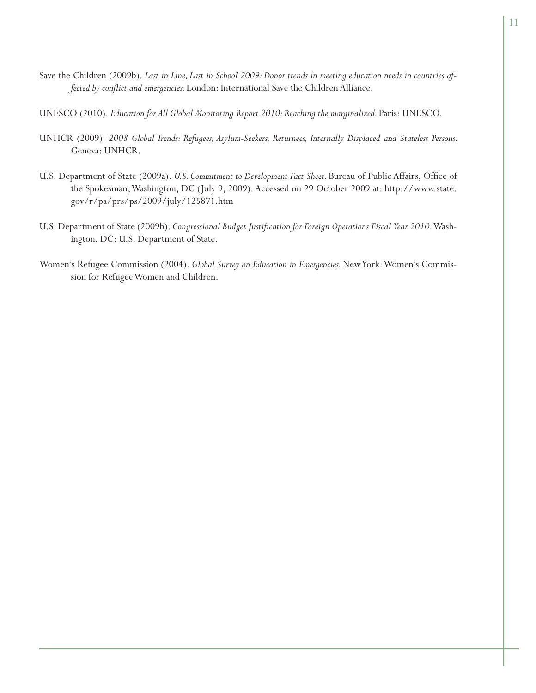- Save the Children (2009b). *Last in Line, Last in School 2009: Donor trends in meeting education needs in countries affected by conflict and emergencies.* London: International Save the Children Alliance.
- UNESCO (2010). *Education for All Global Monitoring Report 2010: Reaching the marginalized.* Paris: UNESCO.
- UNHCR (2009). *2008 Global Trends: Refugees, Asylum-Seekers, Returnees, Internally Displaced and Stateless Persons.*  Geneva: UNHCR.
- U.S. Department of State (2009a). *U.S. Commitment to Development Fact Sheet*. Bureau of Public Affairs, Office of the Spokesman, Washington, DC (July 9, 2009). Accessed on 29 October 2009 at: http://www.state. gov/r/pa/prs/ps/2009/july/125871.htm
- U.S. Department of State (2009b). *Congressional Budget Justifi cation for Foreign Operations Fiscal Year 2010.* Washington, DC: U.S. Department of State.
- Women's Refugee Commission (2004). *Global Survey on Education in Emergencies.* New York: Women's Commission for Refugee Women and Children.